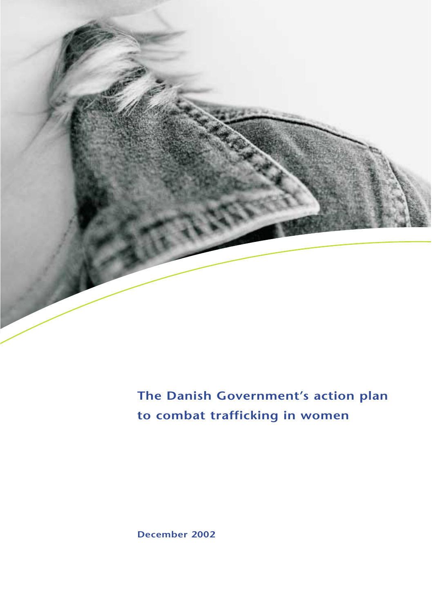

**The Danish Government's action plan to combat trafficking in women**

**December 2002**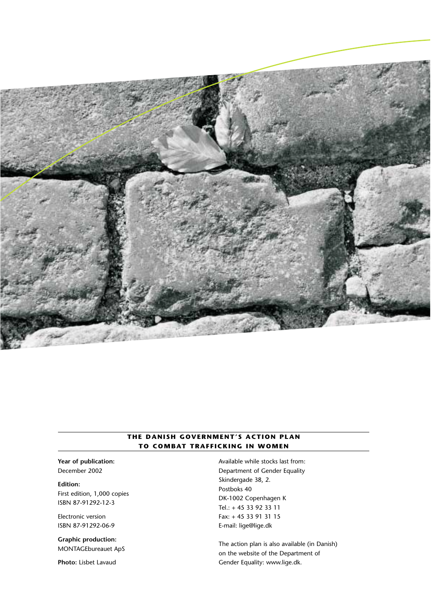

#### **THE DANISH GOVERNMENT'S ACTION PLAN TO COMBAT TRAFFICKING IN WOMEN**

**Year of publication:** December 2002

**Edition:** First edition, 1,000 copies ISBN 87-91292-12-3

Electronic version ISBN 87-91292-06-9

**Graphic production:** MONTAGEbureauet ApS

**Photo:** Lisbet Lavaud

Available while stocks last from: Department of Gender Equality Skindergade 38, 2. Postboks 40 DK-1002 Copenhagen K Tel.: + 45 33 92 33 11 Fax: + 45 33 91 31 15 E-mail: lige@lige.dk

The action plan is also available (in Danish) on the website of the Department of Gender Equality: www.lige.dk.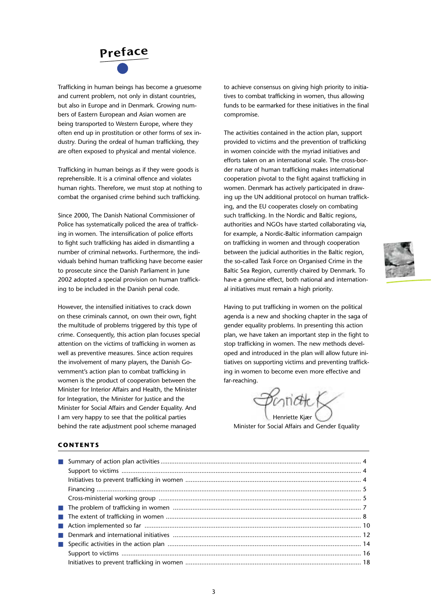

Trafficking in human beings has become a gruesome and current problem, not only in distant countries, but also in Europe and in Denmark. Growing numbers of Eastern European and Asian women are being transported to Western Europe, where they often end up in prostitution or other forms of sex industry. During the ordeal of human trafficking, they are often exposed to physical and mental violence.

Trafficking in human beings as if they were goods is reprehensible. It is a criminal offence and violates human rights. Therefore, we must stop at nothing to combat the organised crime behind such trafficking.

Since 2000, The Danish National Commissioner of Police has systematically policed the area of trafficking in women. The intensification of police efforts to fight such trafficking has aided in dismantling a number of criminal networks. Furthermore, the individuals behind human trafficking have become easier to prosecute since the Danish Parliament in June 2002 adopted a special provision on human trafficking to be included in the Danish penal code.

However, the intensified initiatives to crack down on these criminals cannot, on own their own, fight the multitude of problems triggered by this type of crime. Consequently, this action plan focuses special attention on the victims of trafficking in women as well as preventive measures. Since action requires the involvement of many players, the Danish Government's action plan to combat trafficking in women is the product of cooperation between the Minister for Interior Affairs and Health, the Minister for Integration, the Minister for Justice and the Minister for Social Affairs and Gender Equality. And I am very happy to see that the political parties behind the rate adjustment pool scheme managed

to achieve consensus on giving high priority to initiatives to combat trafficking in women, thus allowing funds to be earmarked for these initiatives in the final compromise.

The activities contained in the action plan, support provided to victims and the prevention of trafficking in women coincide with the myriad initiatives and efforts taken on an international scale. The cross-border nature of human trafficking makes international cooperation pivotal to the fight against trafficking in women. Denmark has actively participated in drawing up the UN additional protocol on human trafficking, and the EU cooperates closely on combating such trafficking. In the Nordic and Baltic regions, authorities and NGOs have started collaborating via, for example, a Nordic-Baltic information campaign on trafficking in women and through cooperation between the judicial authorities in the Baltic region, the so-called Task Force on Organised Crime in the Baltic Sea Region, currently chaired by Denmark. To have a genuine effect, both national and international initiatives must remain a high priority.

Having to put trafficking in women on the political agenda is a new and shocking chapter in the saga of gender equality problems. In presenting this action plan, we have taken an important step in the fight to stop trafficking in women. The new methods developed and introduced in the plan will allow future initiatives on supporting victims and preventing trafficking in women to become even more effective and far-reaching.

 $\cap$ n $\alpha$ k Henriette Kjær

Minister for Social Affairs and Gender Equality

#### **CONTENTS**

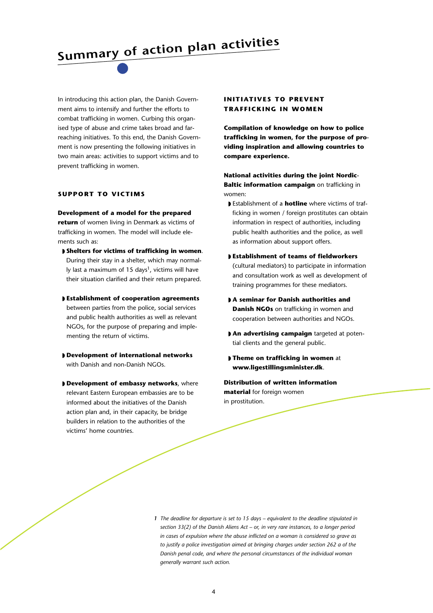**Summary of action plan activities**

In introducing this action plan, the Danish Government aims to intensify and further the efforts to combat trafficking in women. Curbing this organised type of abuse and crime takes broad and farreaching initiatives. To this end, the Danish Government is now presenting the following initiatives in two main areas: activities to support victims and to prevent trafficking in women.

#### **SUPPORT TO VICTIMS**

**Development of a model for the prepared return** of women living in Denmark as victims of trafficking in women. The model will include elements such as:

- ◗ **Shelters for victims of trafficking in women**. During their stay in a shelter, which may normal-Iv last a maximum of 15 days<sup>1</sup>, victims will have their situation clarified and their return prepared.
- ◗ **Establishment of cooperation agreements** between parties from the police, social services and public health authorities as well as relevant NGOs, for the purpose of preparing and implementing the return of victims.
- ◗ **Development of international networks** with Danish and non-Danish NGOs.
- ◗ **Development of embassy networks**, where relevant Eastern European embassies are to be informed about the initiatives of the Danish action plan and, in their capacity, be bridge builders in relation to the authorities of the victims' home countries.

#### **INITIATIVES TO PREVENT TRAFFICKING IN WOMEN**

**Compilation of knowledge on how to police trafficking in women, for the purpose of providing inspiration and allowing countries to compare experience.** 

**National activities during the joint Nordic-Baltic information campaign** on trafficking in women:

- ◗ Establishment of a **hotline** where victims of trafficking in women / foreign prostitutes can obtain information in respect of authorities, including public health authorities and the police, as well as information about support offers.
- ◗ **Establishment of teams of fieldworkers** (cultural mediators) to participate in information and consultation work as well as development of training programmes for these mediators.
- ◗ **A seminar for Danish authorities and Danish NGOs** on trafficking in women and cooperation between authorities and NGOs.
- ◗ **An advertising campaign** targeted at potential clients and the general public.
- ◗ **Theme on trafficking in women** at **www.ligestillingsminister.dk**.

**Distribution of written information material** for foreign women in prostitution.

*1 The deadline for departure is set to 15 days – equivalent to the deadline stipulated in section 33(2) of the Danish Aliens Act – or, in very rare instances, to a longer period in cases of expulsion where the abuse inflicted on a woman is considered so grave as to justify a police investigation aimed at bringing charges under section 262 a of the Danish penal code, and where the personal circumstances of the individual woman generally warrant such action.*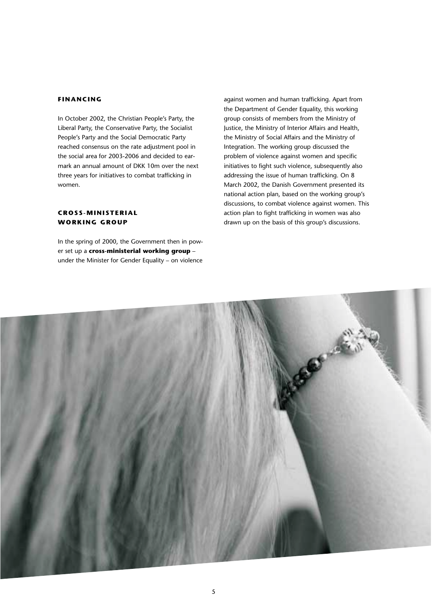#### **FINANCING**

In October 2002, the Christian People's Party, the Liberal Party, the Conservative Party, the Socialist People's Party and the Social Democratic Party reached consensus on the rate adjustment pool in the social area for 2003-2006 and decided to earmark an annual amount of DKK 10m over the next three years for initiatives to combat trafficking in women.

#### **CROSS-MINISTERIAL WORKING GROUP**

In the spring of 2000, the Government then in power set up a **cross-ministerial working group** – under the Minister for Gender Equality – on violence against women and human trafficking. Apart from the Department of Gender Equality, this working group consists of members from the Ministry of Justice, the Ministry of Interior Affairs and Health, the Ministry of Social Affairs and the Ministry of Integration. The working group discussed the problem of violence against women and specific initiatives to fight such violence, subsequently also addressing the issue of human trafficking. On 8 March 2002, the Danish Government presented its national action plan, based on the working group's discussions, to combat violence against women. This action plan to fight trafficking in women was also drawn up on the basis of this group's discussions.

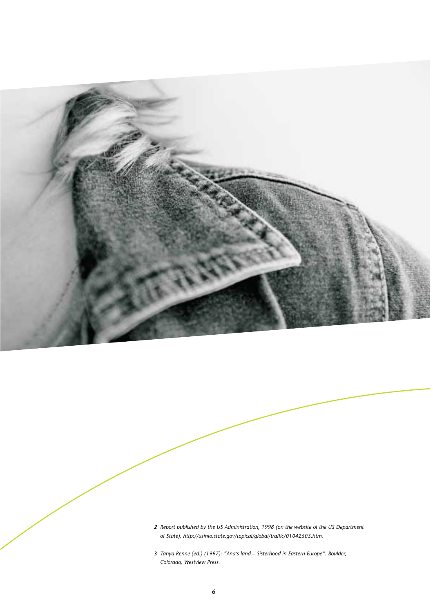

- *2 Report published by the US Administration, 1998 (on the website of the US Department of State), http://usinfo.state.gov/topical/global/traffic/01042503.htm.*
- *3 Tanya Renne (ed.) (1997): "Ana's land Sisterhood in Eastern Europe". Boulder, Colorado, Westview Press.*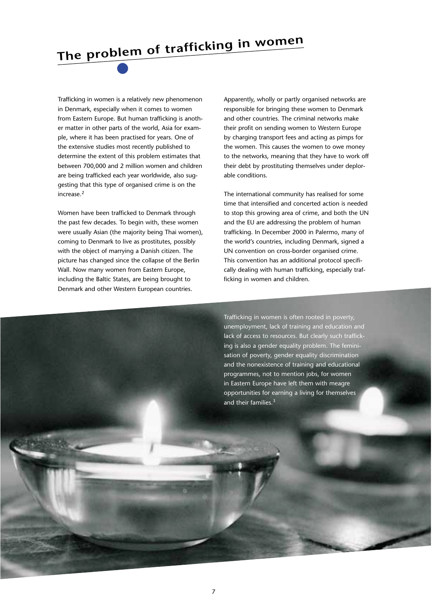# **The problem of trafficking in women**

Trafficking in women is a relatively new phenomenon in Denmark, especially when it comes to women from Eastern Europe. But human trafficking is another matter in other parts of the world, Asia for example, where it has been practised for years. One of the extensive studies most recently published to determine the extent of this problem estimates that between 700,000 and 2 million women and children are being trafficked each year worldwide, also suggesting that this type of organised crime is on the increase.2

Women have been trafficked to Denmark through the past few decades. To begin with, these women were usually Asian (the majority being Thai women), coming to Denmark to live as prostitutes, possibly with the object of marrying a Danish citizen. The picture has changed since the collapse of the Berlin Wall. Now many women from Eastern Europe, including the Baltic States, are being brought to Denmark and other Western European countries.

Apparently, wholly or partly organised networks are responsible for bringing these women to Denmark and other countries. The criminal networks make their profit on sending women to Western Europe by charging transport fees and acting as pimps for the women. This causes the women to owe money to the networks, meaning that they have to work off their debt by prostituting themselves under deplorable conditions.

The international community has realised for some time that intensified and concerted action is needed to stop this growing area of crime, and both the UN and the EU are addressing the problem of human trafficking. In December 2000 in Palermo, many of the world's countries, including Denmark, signed a UN convention on cross-border organised crime. This convention has an additional protocol specifically dealing with human trafficking, especially trafficking in women and children.

Trafficking in women is often rooted in poverty, unemployment, lack of training and education and lack of access to resources. But clearly such trafficking is also a gender equality problem. The feminisation of poverty, gender equality discrimination and the nonexistence of training and educational programmes, not to mention jobs, for women in Eastern Europe have left them with meagre opportunities for earning a living for themselves and their families.<sup>3</sup>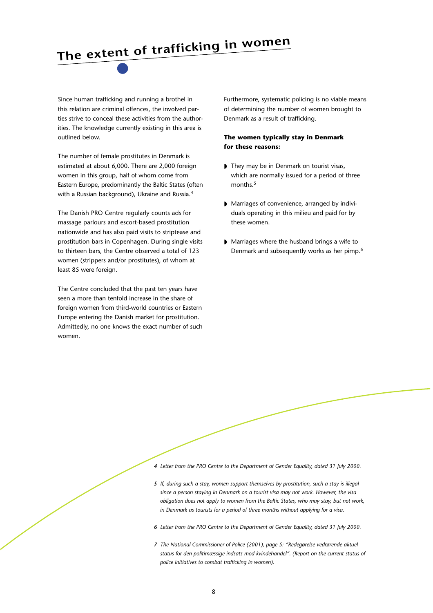### **The extent of trafficking in women**

Since human trafficking and running a brothel in this relation are criminal offences, the involved parties strive to conceal these activities from the authorities. The knowledge currently existing in this area is outlined below.

The number of female prostitutes in Denmark is estimated at about 6,000. There are 2,000 foreign women in this group, half of whom come from Eastern Europe, predominantly the Baltic States (often with a Russian background), Ukraine and Russia.<sup>4</sup>

The Danish PRO Centre regularly counts ads for massage parlours and escort-based prostitution nationwide and has also paid visits to striptease and prostitution bars in Copenhagen. During single visits to thirteen bars, the Centre observed a total of 123 women (strippers and/or prostitutes), of whom at least 85 were foreign.

The Centre concluded that the past ten years have seen a more than tenfold increase in the share of foreign women from third-world countries or Eastern Europe entering the Danish market for prostitution. Admittedly, no one knows the exact number of such women.

Furthermore, systematic policing is no viable means of determining the number of women brought to Denmark as a result of trafficking.

#### **The women typically stay in Denmark for these reasons:**

- ◗ They may be in Denmark on tourist visas, which are normally issued for a period of three months.<sup>5</sup>
- Marriages of convenience, arranged by individuals operating in this milieu and paid for by these women.
- ◗ Marriages where the husband brings a wife to Denmark and subsequently works as her pimp.6

- *4 Letter from the PRO Centre to the Department of Gender Equality, dated 31 July 2000.*
- *5 If, during such a stay, women support themselves by prostitution, such a stay is illegal since a person staying in Denmark on a tourist visa may not work. However, the visa obligation does not apply to women from the Baltic States, who may stay, but not work, in Denmark as tourists for a period of three months without applying for a visa.*
- *6 Letter from the PRO Centre to the Department of Gender Equality, dated 31 July 2000.*
- *7 The National Commissioner of Police (2001), page 5: "Redegørelse vedrørende aktuel status for den politimæssige indsats mod kvindehandel". (Report on the current status of police initiatives to combat trafficking in women).*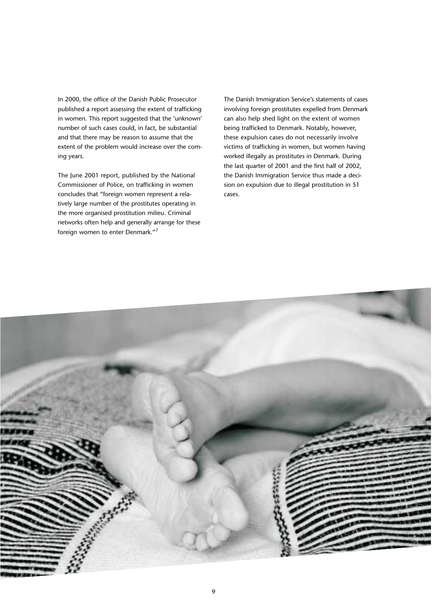In 2000, the office of the Danish Public Prosecutor published a report assessing the extent of trafficking in women. This report suggested that the 'unknown' number of such cases could, in fact, be substantial and that there may be reason to assume that the extent of the problem would increase over the coming years.

The June 2001 report, published by the National Commissioner of Police, on trafficking in women concludes that "foreign women represent a relatively large number of the prostitutes operating in the more organised prostitution milieu. Criminal networks often help and generally arrange for these foreign women to enter Denmark."7

The Danish Immigration Service's statements of cases involving foreign prostitutes expelled from Denmark can also help shed light on the extent of women being trafficked to Denmark. Notably, however, these expulsion cases do not necessarily involve victims of trafficking in women, but women having worked illegally as prostitutes in Denmark. During the last quarter of 2001 and the first half of 2002, the Danish Immigration Service thus made a decision on expulsion due to illegal prostitution in 51 cases.

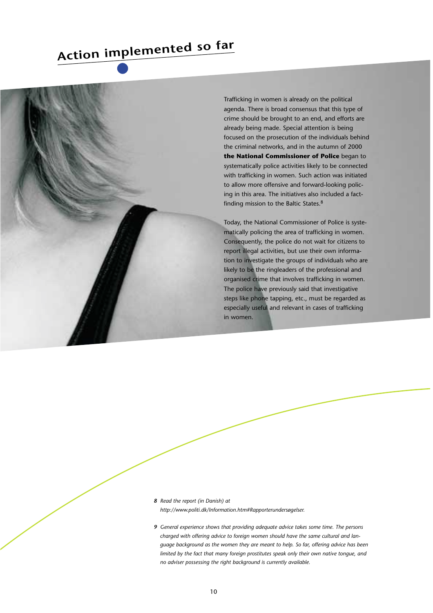### **Action implemented so far**



Trafficking in women is already on the political agenda. There is broad consensus that this type of crime should be brought to an end, and efforts are already being made. Special attention is being focused on the prosecution of the individuals behind the criminal networks, and in the autumn of 2000 **the National Commissioner of Police** began to systematically police activities likely to be connected with trafficking in women. Such action was initiated to allow more offensive and forward-looking policing in this area. The initiatives also included a factfinding mission to the Baltic States.8

Today, the National Commissioner of Police is systematically policing the area of trafficking in women. Consequently, the police do not wait for citizens to report illegal activities, but use their own information to investigate the groups of individuals who are likely to be the ringleaders of the professional and organised crime that involves trafficking in women. The police have previously said that investigative steps like phone tapping, etc., must be regarded as especially useful and relevant in cases of trafficking in women.

- *8 Read the report (in Danish) at http://www.politi.dk/Information.htm#Rapporterundersøgelser.*
- *9 General experience shows that providing adequate advice takes some time. The persons charged with offering advice to foreign women should have the same cultural and language background as the women they are meant to help. So far, offering advice has been limited by the fact that many foreign prostitutes speak only their own native tongue, and no adviser possessing the right background is currently available.*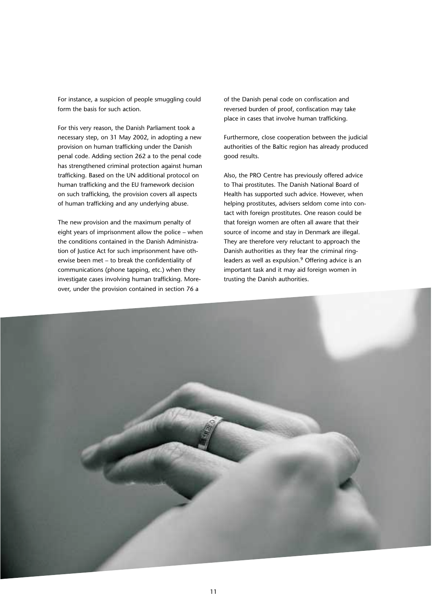For instance, a suspicion of people smuggling could form the basis for such action.

For this very reason, the Danish Parliament took a necessary step, on 31 May 2002, in adopting a new provision on human trafficking under the Danish penal code. Adding section 262 a to the penal code has strengthened criminal protection against human trafficking. Based on the UN additional protocol on human trafficking and the EU framework decision on such trafficking, the provision covers all aspects of human trafficking and any underlying abuse.

The new provision and the maximum penalty of eight years of imprisonment allow the police – when the conditions contained in the Danish Administration of Justice Act for such imprisonment have otherwise been met – to break the confidentiality of communications (phone tapping, etc.) when they investigate cases involving human trafficking. Moreover, under the provision contained in section 76 a

of the Danish penal code on confiscation and reversed burden of proof, confiscation may take place in cases that involve human trafficking.

Furthermore, close cooperation between the judicial authorities of the Baltic region has already produced good results.

Also, the PRO Centre has previously offered advice to Thai prostitutes. The Danish National Board of Health has supported such advice. However, when helping prostitutes, advisers seldom come into contact with foreign prostitutes. One reason could be that foreign women are often all aware that their source of income and stay in Denmark are illegal. They are therefore very reluctant to approach the Danish authorities as they fear the criminal ringleaders as well as expulsion.<sup>9</sup> Offering advice is an important task and it may aid foreign women in trusting the Danish authorities.

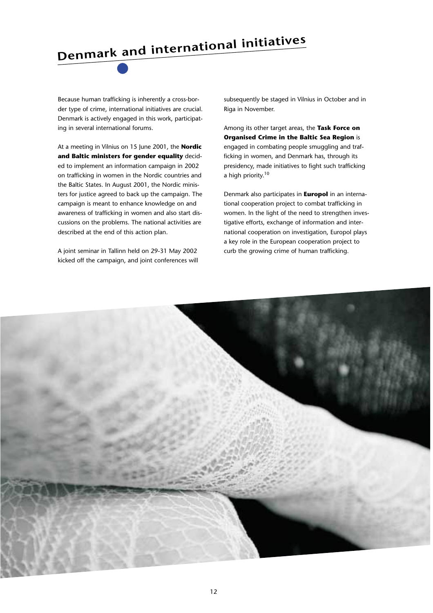# **Denmark and international initiatives**

Because human trafficking is inherently a cross-border type of crime, international initiatives are crucial. Denmark is actively engaged in this work, participating in several international forums.

At a meeting in Vilnius on 15 June 2001, the **Nordic and Baltic ministers for gender equality** decided to implement an information campaign in 2002 on trafficking in women in the Nordic countries and the Baltic States. In August 2001, the Nordic ministers for justice agreed to back up the campaign. The campaign is meant to enhance knowledge on and awareness of trafficking in women and also start discussions on the problems. The national activities are described at the end of this action plan.

A joint seminar in Tallinn held on 29-31 May 2002 kicked off the campaign, and joint conferences will subsequently be staged in Vilnius in October and in Riga in November.

Among its other target areas, the **Task Force on Organised Crime in the Baltic Sea Region** is engaged in combating people smuggling and trafficking in women, and Denmark has, through its presidency, made initiatives to fight such trafficking a high priority.<sup>10</sup>

Denmark also participates in **Europol** in an international cooperation project to combat trafficking in women. In the light of the need to strengthen investigative efforts, exchange of information and international cooperation on investigation, Europol plays a key role in the European cooperation project to curb the growing crime of human trafficking.

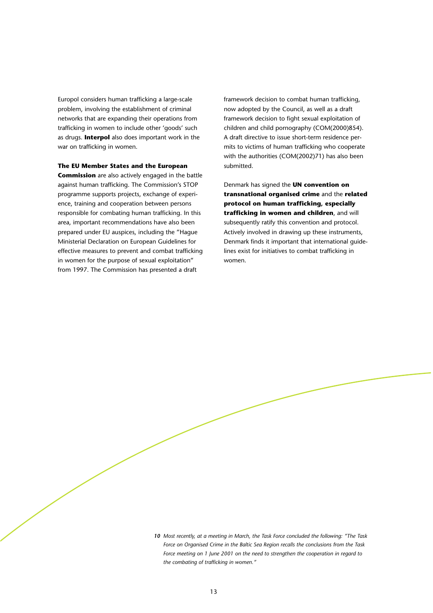Europol considers human trafficking a large-scale problem, involving the establishment of criminal networks that are expanding their operations from trafficking in women to include other 'goods' such as drugs. **Interpol** also does important work in the war on trafficking in women.

#### **The EU Member States and the European**

**Commission** are also actively engaged in the battle against human trafficking. The Commission's STOP programme supports projects, exchange of experience, training and cooperation between persons responsible for combating human trafficking. In this area, important recommendations have also been prepared under EU auspices, including the "Hague Ministerial Declaration on European Guidelines for effective measures to prevent and combat trafficking in women for the purpose of sexual exploitation" from 1997. The Commission has presented a draft

framework decision to combat human trafficking, now adopted by the Council, as well as a draft framework decision to fight sexual exploitation of children and child pornography (COM(2000)854). A draft directive to issue short-term residence permits to victims of human trafficking who cooperate with the authorities (COM(2002)71) has also been submitted.

Denmark has signed the **UN convention on transnational organised crime** and the **related protocol on human trafficking, especially trafficking in women and children**, and will subsequently ratify this convention and protocol. Actively involved in drawing up these instruments, Denmark finds it important that international guidelines exist for initiatives to combat trafficking in women.

*10 Most recently, at a meeting in March, the Task Force concluded the following: "The Task Force on Organised Crime in the Baltic Sea Region recalls the conclusions from the Task Force meeting on 1 June 2001 on the need to strengthen the cooperation in regard to the combating of trafficking in women."*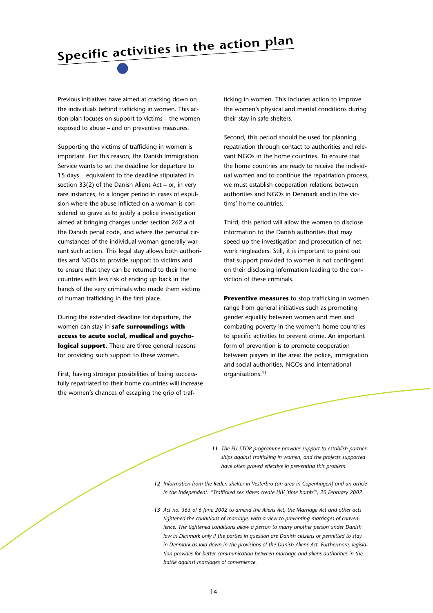## **Specific activities in the action plan**

Previous initiatives have aimed at cracking down on the individuals behind trafficking in women. This action plan focuses on support to victims – the women exposed to abuse – and on preventive measures.

Supporting the victims of trafficking in women is important. For this reason, the Danish Immigration Service wants to set the deadline for departure to 15 days – equivalent to the deadline stipulated in section 33(2) of the Danish Aliens Act – or, in very rare instances, to a longer period in cases of expulsion where the abuse inflicted on a woman is considered so grave as to justify a police investigation aimed at bringing charges under section 262 a of the Danish penal code, and where the personal circumstances of the individual woman generally warrant such action. This legal stay allows both authorities and NGOs to provide support to victims and to ensure that they can be returned to their home countries with less risk of ending up back in the hands of the very criminals who made them victims of human trafficking in the first place.

During the extended deadline for departure, the women can stay in **safe surroundings with access to acute social, medical and psychological support**. There are three general reasons for providing such support to these women.

First, having stronger possibilities of being successfully repatriated to their home countries will increase the women's chances of escaping the grip of trafficking in women. This includes action to improve the women's physical and mental conditions during their stay in safe shelters.

Second, this period should be used for planning repatriation through contact to authorities and relevant NGOs in the home countries. To ensure that the home countries are ready to receive the individual women and to continue the repatriation process, we must establish cooperation relations between authorities and NGOs in Denmark and in the victims' home countries.

Third, this period will allow the women to disclose information to the Danish authorities that may speed up the investigation and prosecution of network ringleaders. Still, it is important to point out that support provided to women is not contingent on their disclosing information leading to the conviction of these criminals.

**Preventive measures** to stop trafficking in women range from general initiatives such as promoting gender equality between women and men and combating poverty in the women's home countries to specific activities to prevent crime. An important form of prevention is to promote cooperation between players in the area: the police, immigration and social authorities, NGOs and international organisations.<sup>11</sup>

*11 The EU STOP programme provides support to establish partnerships against trafficking in women, and the projects supported have often proved effective in preventing this problem.*

- *12 Information from the Reden shelter in Vesterbro (an area in Copenhagen) and an article in the Independent: "Trafficked sex slaves create HIV 'time bomb'", 20 February 2002.*
- *13 Act no. 365 of 6 June 2002 to amend the Aliens Act, the Marriage Act and other acts tightened the conditions of marriage, with a view to preventing marriages of convenience. The tightened conditions allow a person to marry another person under Danish law in Denmark only if the parties in question are Danish citizens or permitted to stay in Denmark as laid down in the provisions of the Danish Aliens Act. Furthermore, legislation provides for better communication between marriage and aliens authorities in the battle against marriages of convenience.*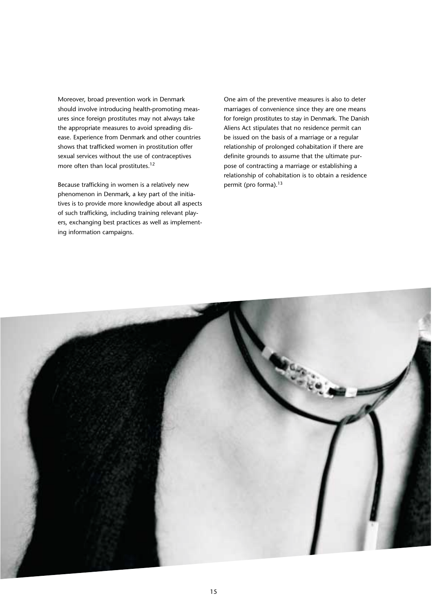Moreover, broad prevention work in Denmark should involve introducing health-promoting measures since foreign prostitutes may not always take the appropriate measures to avoid spreading disease. Experience from Denmark and other countries shows that trafficked women in prostitution offer sexual services without the use of contraceptives more often than local prostitutes.<sup>12</sup>

Because trafficking in women is a relatively new phenomenon in Denmark, a key part of the initiatives is to provide more knowledge about all aspects of such trafficking, including training relevant players, exchanging best practices as well as implementing information campaigns.

One aim of the preventive measures is also to deter marriages of convenience since they are one means for foreign prostitutes to stay in Denmark. The Danish Aliens Act stipulates that no residence permit can be issued on the basis of a marriage or a regular relationship of prolonged cohabitation if there are definite grounds to assume that the ultimate purpose of contracting a marriage or establishing a relationship of cohabitation is to obtain a residence permit (pro forma).<sup>13</sup>

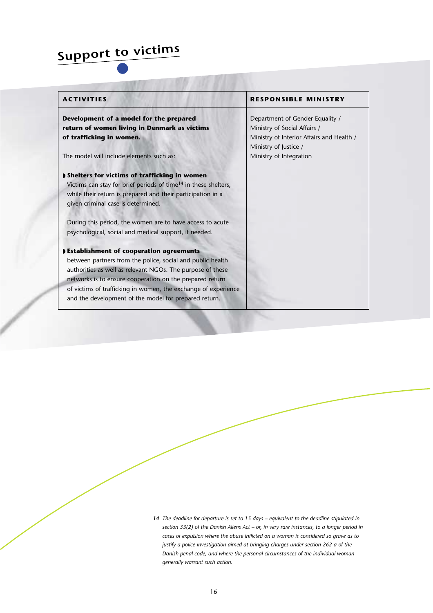### **Support to victims**

| Development of a model for the prepared                                     | Department of Gender Equality /                                    |
|-----------------------------------------------------------------------------|--------------------------------------------------------------------|
| return of women living in Denmark as victims                                | Ministry of Social Affairs /                                       |
| of trafficking in women.                                                    | Ministry of Interior Affairs and Health /<br>Ministry of Justice / |
| The model will include elements such as:                                    | Ministry of Integration                                            |
| <b>I</b> Shelters for victims of trafficking in women                       |                                                                    |
| Victims can stay for brief periods of time <sup>14</sup> in these shelters, |                                                                    |
| while their return is prepared and their participation in a                 |                                                                    |
| given criminal case is determined.                                          |                                                                    |
| During this period, the women are to have access to acute                   |                                                                    |
| psychological, social and medical support, if needed.                       |                                                                    |
| <b>DEstablishment of cooperation agreements</b>                             |                                                                    |
| between partners from the police, social and public health                  |                                                                    |
| authorities as well as relevant NGOs. The purpose of these                  |                                                                    |
| networks is to ensure cooperation on the prepared return                    |                                                                    |
| of victims of trafficking in women, the exchange of experience              |                                                                    |
| and the development of the model for prepared return.                       |                                                                    |

*14 The deadline for departure is set to 15 days – equivalent to the deadline stipulated in section 33(2) of the Danish Aliens Act – or, in very rare instances, to a longer period in cases of expulsion where the abuse inflicted on a woman is considered so grave as to justify a police investigation aimed at bringing charges under section 262 a of the Danish penal code, and where the personal circumstances of the individual woman generally warrant such action.*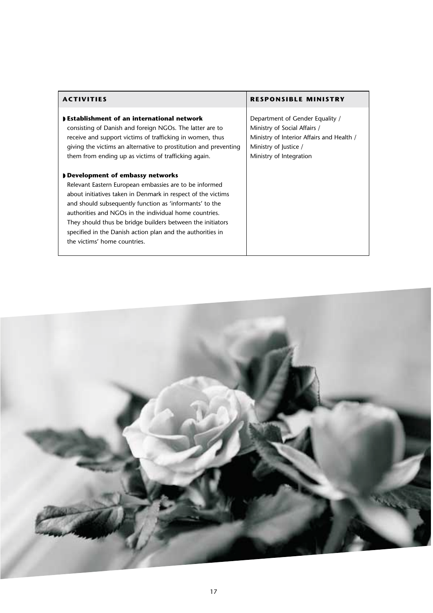| <b>ACTIVITIES</b>                                                                                                                                                                                                                                                                                                                                                                                                                          | <b>RESPONSIBLE MINISTRY</b>                                                                                                                                      |
|--------------------------------------------------------------------------------------------------------------------------------------------------------------------------------------------------------------------------------------------------------------------------------------------------------------------------------------------------------------------------------------------------------------------------------------------|------------------------------------------------------------------------------------------------------------------------------------------------------------------|
| <b>DEstablishment of an international network</b><br>consisting of Danish and foreign NGOs. The latter are to<br>receive and support victims of trafficking in women, thus<br>giving the victims an alternative to prostitution and preventing<br>them from ending up as victims of trafficking again.                                                                                                                                     | Department of Gender Equality /<br>Ministry of Social Affairs /<br>Ministry of Interior Affairs and Health /<br>Ministry of Justice /<br>Ministry of Integration |
| Development of embassy networks<br>Relevant Eastern European embassies are to be informed<br>about initiatives taken in Denmark in respect of the victims<br>and should subsequently function as 'informants' to the<br>authorities and NGOs in the individual home countries.<br>They should thus be bridge builders between the initiators<br>specified in the Danish action plan and the authorities in<br>the victims' home countries. |                                                                                                                                                                  |

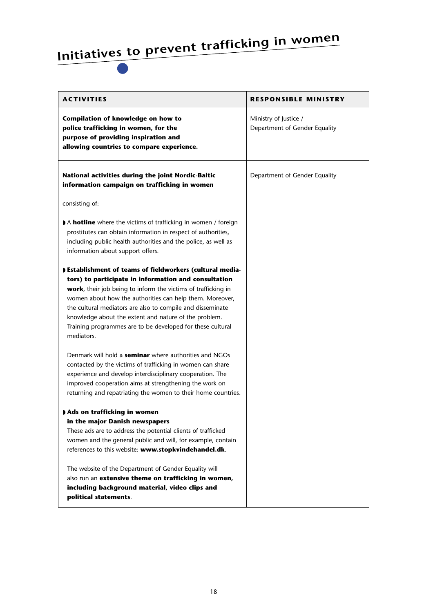# **Initiatives to prevent trafficking in women**

| <b>ACTIVITIES</b>                                                                                                                                                                                                                                                                                                                                                                                                                                       | <b>RESPONSIBLE MINISTRY</b>                            |
|---------------------------------------------------------------------------------------------------------------------------------------------------------------------------------------------------------------------------------------------------------------------------------------------------------------------------------------------------------------------------------------------------------------------------------------------------------|--------------------------------------------------------|
| Compilation of knowledge on how to<br>police trafficking in women, for the<br>purpose of providing inspiration and<br>allowing countries to compare experience.                                                                                                                                                                                                                                                                                         | Ministry of Justice /<br>Department of Gender Equality |
| National activities during the joint Nordic-Baltic<br>information campaign on trafficking in women                                                                                                                                                                                                                                                                                                                                                      | Department of Gender Equality                          |
| consisting of:                                                                                                                                                                                                                                                                                                                                                                                                                                          |                                                        |
| A <b>hotline</b> where the victims of trafficking in women / foreign<br>prostitutes can obtain information in respect of authorities,<br>including public health authorities and the police, as well as<br>information about support offers.                                                                                                                                                                                                            |                                                        |
| <b>DEstablishment of teams of fieldworkers (cultural media-</b><br>tors) to participate in information and consultation<br>work, their job being to inform the victims of trafficking in<br>women about how the authorities can help them. Moreover,<br>the cultural mediators are also to compile and disseminate<br>knowledge about the extent and nature of the problem.<br>Training programmes are to be developed for these cultural<br>mediators. |                                                        |
| Denmark will hold a <b>seminar</b> where authorities and NGOs<br>contacted by the victims of trafficking in women can share<br>experience and develop interdisciplinary cooperation. The<br>improved cooperation aims at strengthening the work on<br>returning and repatriating the women to their home countries.                                                                                                                                     |                                                        |
| Ads on trafficking in women<br>in the major Danish newspapers<br>These ads are to address the potential clients of trafficked<br>women and the general public and will, for example, contain<br>references to this website: www.stopkvindehandel.dk.<br>The website of the Department of Gender Equality will<br>also run an extensive theme on trafficking in women,                                                                                   |                                                        |
| including background material, video clips and<br>political statements.                                                                                                                                                                                                                                                                                                                                                                                 |                                                        |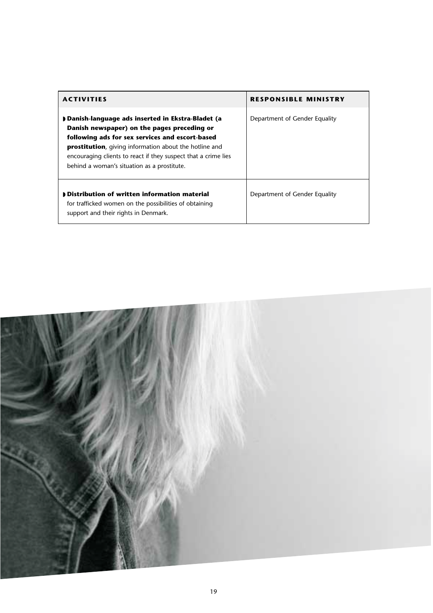| <b>ACTIVITIES</b>                                                                                                                                                                                                                                                                                                                     | <b>RESPONSIBLE MINISTRY</b>   |
|---------------------------------------------------------------------------------------------------------------------------------------------------------------------------------------------------------------------------------------------------------------------------------------------------------------------------------------|-------------------------------|
| Danish-language ads inserted in Ekstra-Bladet (a<br>Danish newspaper) on the pages preceding or<br>following ads for sex services and escort-based<br><b>prostitution</b> , giving information about the hotline and<br>encouraging clients to react if they suspect that a crime lies<br>behind a woman's situation as a prostitute. | Department of Gender Equality |
| Distribution of written information material<br>for trafficked women on the possibilities of obtaining<br>support and their rights in Denmark.                                                                                                                                                                                        | Department of Gender Equality |